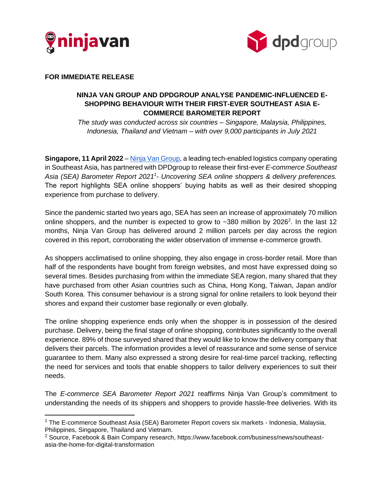



**FOR IMMEDIATE RELEASE**

## **NINJA VAN GROUP AND DPDGROUP ANALYSE PANDEMIC-INFLUENCED E-SHOPPING BEHAVIOUR WITH THEIR FIRST-EVER SOUTHEAST ASIA E-COMMERCE BAROMETER REPORT**

*The study was conducted across six countries – Singapore, Malaysia, Philippines, Indonesia, Thailand and Vietnam – with over 9,000 participants in July 2021*

**Singapore, 11 April 2022** – [Ninja Van Group,](http://www.ninjavan.co/) a leading tech-enabled logistics company operating in Southeast Asia, has partnered with DPDgroup to release their first-ever *E-commerce Southeast Asia (SEA) Barometer Report 2021<sup>1</sup> - Uncovering SEA online shoppers & delivery preferences.* The report highlights SEA online shoppers' buying habits as well as their desired shopping experience from purchase to delivery.

Since the pandemic started two years ago, SEA has seen an increase of approximately 70 million online shoppers, and the number is expected to grow to  $\sim$ 380 million by 2026<sup>2</sup>. In the last 12 months, Ninja Van Group has delivered around 2 million parcels per day across the region covered in this report, corroborating the wider observation of immense e-commerce growth.

As shoppers acclimatised to online shopping, they also engage in cross-border retail. More than half of the respondents have bought from foreign websites, and most have expressed doing so several times. Besides purchasing from within the immediate SEA region, many shared that they have purchased from other Asian countries such as China, Hong Kong, Taiwan, Japan and/or South Korea. This consumer behaviour is a strong signal for online retailers to look beyond their shores and expand their customer base regionally or even globally.

The online shopping experience ends only when the shopper is in possession of the desired purchase. Delivery, being the final stage of online shopping, contributes significantly to the overall experience. 89% of those surveyed shared that they would like to know the delivery company that delivers their parcels. The information provides a level of reassurance and some sense of service guarantee to them. Many also expressed a strong desire for real-time parcel tracking, reflecting the need for services and tools that enable shoppers to tailor delivery experiences to suit their needs.

The *E-commerce SEA Barometer Report 2021* reaffirms Ninja Van Group's commitment to understanding the needs of its shippers and shoppers to provide hassle-free deliveries. With its

<sup>1</sup> The E-commerce Southeast Asia (SEA) Barometer Report covers six markets - Indonesia, Malaysia, Philippines, Singapore, Thailand and Vietnam.

<sup>&</sup>lt;sup>2</sup> Source, Facebook & Bain Company research, https://www.facebook.com/business/news/southeastasia-the-home-for-digital-transformation